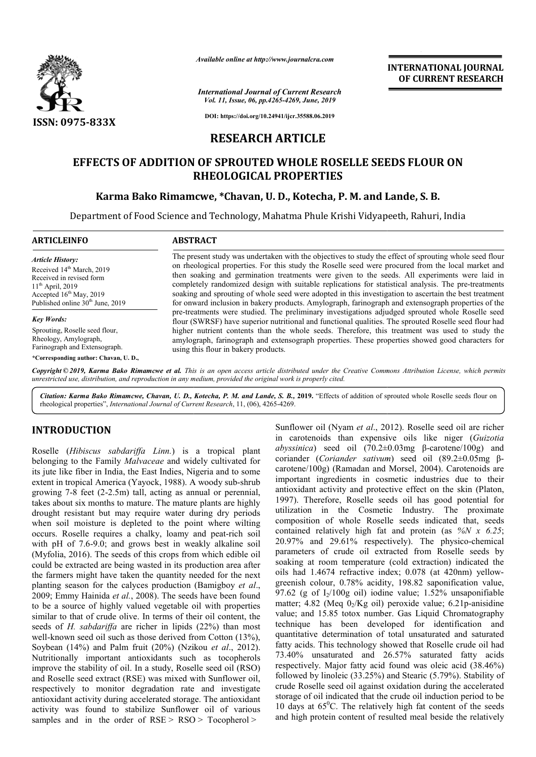

*Available online at http://www.journalcra.com*

*International Journal of Current Research Vol. 11, Issue, 06, pp.4265-4269, June, 2019*

**INTERNATIONAL JOURNAL OF CURRENT RESEARCH**

**DOI: https://doi.org/10.24941/ijcr.35588.06.2019**

# **RESEARCH ARTICLE**

# **EFFECTS OF ADDITION OF SPROUTED WHOLE ROSELLE SEEDS FLOUR ON RHEOLOGICAL PROPERTIES**

# **Karma Bako Rimamcwe, \*Chavan, U. D., Kotecha, P. M. and Lande, Chavan, and Lande, S. B.**

Department of Food Science and Technology, Mahatma Phule Krishi Vidyapeeth, Rahuri, India

| <b>ARTICLEINFO</b>                                                                                                                                                                                 | <b>ABSTRACT</b>                                                                                                                                                                                                                                                                                                                                                                                                                                                                                                                                                                                                                        |
|----------------------------------------------------------------------------------------------------------------------------------------------------------------------------------------------------|----------------------------------------------------------------------------------------------------------------------------------------------------------------------------------------------------------------------------------------------------------------------------------------------------------------------------------------------------------------------------------------------------------------------------------------------------------------------------------------------------------------------------------------------------------------------------------------------------------------------------------------|
| <b>Article History:</b><br>Received 14 <sup>th</sup> March, 2019<br>Received in revised form<br>$11^{th}$ April, 2019<br>Accepted $16th$ May, 2019<br>Published online 30 <sup>th</sup> June, 2019 | The present study was undertaken with the objectives to study the effect of sprouting whole seed flour<br>on rheological properties. For this study the Roselle seed were procured from the local market and<br>then soaking and germination treatments were given to the seeds. All experiments were laid in<br>completely randomized design with suitable replications for statistical analysis. The pre-treatments<br>soaking and sprouting of whole seed were adopted in this investigation to ascertain the best treatment<br>for onward inclusion in bakery products. Amylograph, farinograph and extensograph properties of the |
| <b>Key Words:</b><br>Sprouting, Roselle seed flour,<br>Rheology, Amylograph,                                                                                                                       | pre-treatments were studied. The preliminary investigations adjudged sprouted whole Roselle seed<br>flour (SWRSF) have superior nutritional and functional qualities. The sprouted Roselle seed flour had<br>higher nutrient contents than the whole seeds. Therefore, this treatment was used to study the<br>amylograph, farinograph and extensograph properties. These properties showed good characters for                                                                                                                                                                                                                        |
| Farinograph and Extensograph.<br>*Corresponding author: Chavan, U.D.,                                                                                                                              | using this flour in bakery products.                                                                                                                                                                                                                                                                                                                                                                                                                                                                                                                                                                                                   |

Copyright © 2019, Karma Bako Rimamcwe et al. This is an open access article distributed under the Creative Commons Attribution License, which permits *unrestricted use, distribution, and reproduction in any medium, provided the original work is properly cited.*

Citation: Karma Bako Rimamcwe, Chavan, U. D., Kotecha, P. M. and Lande, S. B., 2019. "Effects of addition of sprouted whole Roselle seeds flour on rheological properties", *International Journal of Current Research* , 11, (06), 4265-4269.

# **INTRODUCTION**

Roselle (*Hibiscus sabdariffa Linn.*) is a tropical plant belonging to the Family *Malvaceae* and widely cultivated for its jute like fiber in India, the East Indies, Nigeria and to some extent in tropical America (Yayock, 1988). A woody sub-shrub growing 7-8 feet (2-2.5m) tall, acting as annual or perennial, takes about six months to mature. The mature plants are highly drought resistant but may require water during dry periods when soil moisture is depleted to the point where wilting occurs. Roselle requires a chalky, loamy and peat with pH of 7.6-9.0; and grows best in weakly alkaline soil (Myfolia, 2016). The seeds of this crops from which edible oil could be extracted are being wasted in its production area after the farmers might have taken the quantity needed for the next planting season for the calyces production (Bamigboy *et al*., 2009; Emmy Hainida *et al.*, 2008). The seeds have been found to be a source of highly valued vegetable oil with properties similar to that of crude olive. In terms of their oil content, the seeds of *H. sabdariffa* are richer in lipids (22%) than most well-known seed oil such as those derived from Cotton (13%), Soybean (14%) and Palm fruit (20%) (Nzikou *et al*., 2012). Nutritionally important antioxidants such as tocopherols improve the stability of oil. In a study, Roselle seed oil (RSO) and Roselle seed extract (RSE) was mixed with Sunflower oil, respectively to monitor degradation rate and investigate antioxidant activity during accelerated storage. The antioxidant activity was found to stabilize Sunflower oil of various samples and in the order of RSE > RSO > Tocopherol > 2.5m) tall, acting as annual or perennial, hs to mature. The mature plants are highly t may require water during dry periods is depleted to the point where wilting irres a chalky, loamy and peat-rich soil

Sunflower oil (Nyam *et al*., 2012). Roselle seed oil are richer in carotenoids than expensive oils like niger (Guizotia *abyssinica*) seed oil (70.2±0.03mg β β-carotene/100g) and coriander (*Coriander sativum* ) seed oil (89.2±0.05mg βcarotene/100g) (Ramadan and Morsel, 2004). Carotenoids are important ingredients in cosmetic industries due to their important ingredients in cosmetic industries due to their antioxidant activity and protective effect on the skin (Platon, 1997). Therefore, Roselle seeds oil has good potential for 1997). Therefore, Roselle seeds oil has good potential for utilization in the Cosmetic Industry. The proximate composition of whole Roselle seeds indicated that, seeds composition of whole Roselle seeds indicated that, seeds contained relatively high fat and protein (as  $\frac{\%N}{x}$  6.25; 20.97% and 29.61% respectively). The physico-chemical parameters of crude oil extracted from Roselle seeds by soaking at room temperature (cold extraction) indicated the oils had 1.4674 refractive index; 0.078 (at 420nm) yellow greenish colour, 0.78% acidity, 198.82 saponification value, 97.62 (g of  $I_2/100g$  oil) iodine value; 1.52% unsaponifiable 97.62 (g of  $I_2/100g$  oil) iodine value; 1.52% unsaponifiable matter; 4.82 (Meq  $0_2/Kg$  oil) peroxide value; 6.21p-anisidine value; and 15.85 totox number. Gas Liquid Chromatography technique has been developed for identification and quantitative determination of total unsaturated and saturated fatty acids. This technology showed that Roselle crude oil had 73.40% unsaturated and 26.57% saturated fatty acids respectively. Major fatty acid found was oleic acid (38.46%) followed by linoleic (33.25%) and Stearic (5.79%). Stability of crude Roselle seed oil against oxidation during the accelerated storage of oil indicated that the crude oil induction period to be 10 days at  $65^{\circ}$ C. The relatively high fat content of the seeds and high protein content of resulted meal beside the relatively oil extracted from Roselle seeds by<br>erature (cold extraction) indicated the<br>tive index; 0.078 (at 420nm) yellowvalue; and 15.85 totox number. Gas Liquid Chromitechnique has been developed for identificated quantitative determination of total unsaturated and fatty acids. This technology showed that Roselle crue 73.40% unsaturated an INTERNATIONAL JOURNAL<br>
INTERNATIONAL OF CURRENT RESEARCH<br>
Integrates<br>
Material Content results of the crude induction<br>
LE ROSELLE SEEDS FLOUR ON<br>
ERTIES<br>
LE ROSELLE SEEDS FLOUR ON<br>
ERTIES<br>
Neuro Kristin Vidyapeeth, Rahurr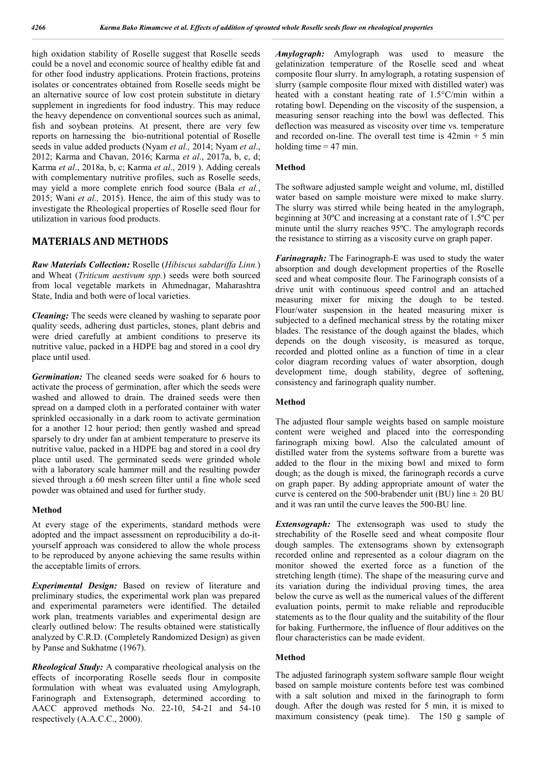high oxidation stability of Roselle suggest that Roselle seeds could be a novel and economic source of healthy edible fat and for other food industry applications. Protein fractions, proteins isolates or concentrates obtained from Roselle seeds might be an alternative source of low cost protein substitute in dietary supplement in ingredients for food industry. This may reduce the heavy dependence on conventional sources such as animal, fish and soybean proteins. At present, there are very few reports on harnessing the bio-nutritional potential of Roselle seeds in value added products (Nyam *et al.,* 2014; Nyam *et al*., 2012; Karma and Chavan, 2016; Karma *et al*., 2017a, b, c, d; Karma *et al*., 2018a, b, c; Karma *et al*., 2019 ). Adding cereals with complementary nutritive profiles, such as Roselle seeds, may yield a more complete enrich food source (Bala *et al.*, 2015; Wani *et al.,* 2015). Hence, the aim of this study was to investigate the Rheological properties of Roselle seed flour for utilization in various food products.

### **MATERIALS AND METHODS**

*Raw Materials Collection:* Roselle (*Hibiscus sabdariffa Linn.*) and Wheat (*Triticum aestivum spp.*) seeds were both sourced from local vegetable markets in Ahmednagar, Maharashtra State, India and both were of local varieties.

*Cleaning:* The seeds were cleaned by washing to separate poor quality seeds, adhering dust particles, stones, plant debris and were dried carefully at ambient conditions to preserve its nutritive value, packed in a HDPE bag and stored in a cool dry place until used.

*Germination:* The cleaned seeds were soaked for 6 hours to activate the process of germination, after which the seeds were washed and allowed to drain. The drained seeds were then spread on a damped cloth in a perforated container with water sprinkled occasionally in a dark room to activate germination for a another 12 hour period; then gently washed and spread sparsely to dry under fan at ambient temperature to preserve its nutritive value, packed in a HDPE bag and stored in a cool dry place until used. The germinated seeds were grinded whole with a laboratory scale hammer mill and the resulting powder sieved through a 60 mesh screen filter until a fine whole seed powder was obtained and used for further study.

#### **Method**

At every stage of the experiments, standard methods were adopted and the impact assessment on reproducibility a do-ityourself approach was considered to allow the whole process to be reproduced by anyone achieving the same results within the acceptable limits of errors.

*Experimental Design:* Based on review of literature and preliminary studies, the experimental work plan was prepared and experimental parameters were identified. The detailed work plan, treatments variables and experimental design are clearly outlined below: The results obtained were statistically analyzed by C.R.D. (Completely Randomized Design) as given by Panse and Sukhatme (1967).

*Rheological Study:* A comparative rheological analysis on the effects of incorporating Roselle seeds flour in composite formulation with wheat was evaluated using Amylograph, Farinograph and Extensograph, determined according to AACC approved methods No. 22-10, 54-21 and 54-10 respectively (A.A.C.C., 2000).

*Amylograph:* Amylograph was used to measure the gelatinization temperature of the Roselle seed and wheat composite flour slurry. In amylograph, a rotating suspension of slurry (sample composite flour mixed with distilled water) was heated with a constant heating rate of 1.5°C/min within a rotating bowl. Depending on the viscosity of the suspension, a measuring sensor reaching into the bowl was deflected. This deflection was measured as viscosity over time vs. temperature and recorded on-line. The overall test time is  $42\text{min} + 5\text{min}$ holding time  $= 47$  min.

#### **Method**

The software adjusted sample weight and volume, ml, distilled water based on sample moisture were mixed to make slurry. The slurry was stirred while being heated in the amylograph, beginning at 30ºC and increasing at a constant rate of 1.5ºC per minute until the slurry reaches 95ºC. The amylograph records the resistance to stirring as a viscosity curve on graph paper.

*Farinograph:* The Farinograph-E was used to study the water absorption and dough development properties of the Roselle seed and wheat composite flour. The Farinograph consists of a drive unit with continuous speed control and an attached measuring mixer for mixing the dough to be tested. Flour/water suspension in the heated measuring mixer is subjected to a defined mechanical stress by the rotating mixer blades. The resistance of the dough against the blades, which depends on the dough viscosity, is measured as torque, recorded and plotted online as a function of time in a clear color diagram recording values of water absorption, dough development time, dough stability, degree of softening, consistency and farinograph quality number.

#### **Method**

The adjusted flour sample weights based on sample moisture content were weighed and placed into the corresponding farinograph mixing bowl. Also the calculated amount of distilled water from the systems software from a burette was added to the flour in the mixing bowl and mixed to form dough; as the dough is mixed, the farinograph records a curve on graph paper. By adding appropriate amount of water the curve is centered on the 500-brabender unit (BU) line  $\pm 20$  BU and it was ran until the curve leaves the 500-BU line.

*Extensograph:* The extensograph was used to study the strechability of the Roselle seed and wheat composite flour dough samples. The extensograms shown by extensograph recorded online and represented as a colour diagram on the monitor showed the exerted force as a function of the stretching length (time). The shape of the measuring curve and its variation during the individual proving times, the area below the curve as well as the numerical values of the different evaluation points, permit to make reliable and reproducible statements as to the flour quality and the suitability of the flour for baking. Furthermore, the influence of flour additives on the flour characteristics can be made evident.

#### **Method**

The adjusted farinograph system software sample flour weight based on sample moisture contents before test was combined with a salt solution and mixed in the farinograph to form dough. After the dough was rested for 5 min, it is mixed to maximum consistency (peak time). The 150 g sample of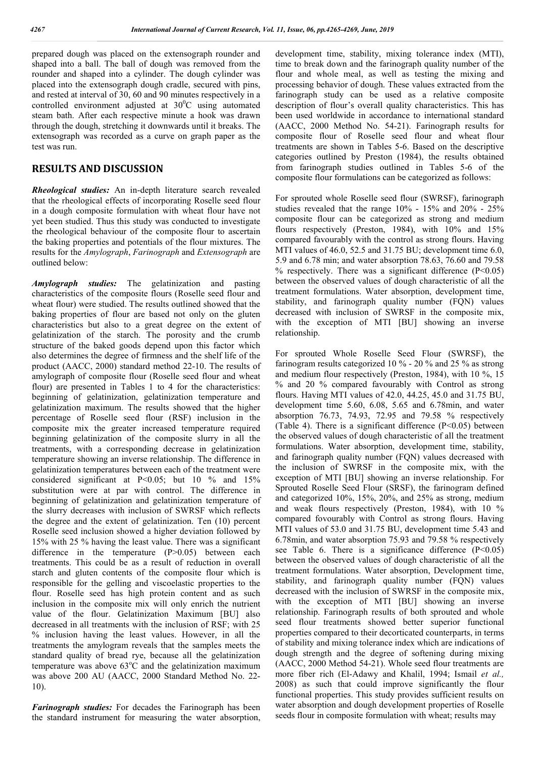prepared dough was placed on the extensograph rounder and shaped into a ball. The ball of dough was removed from the rounder and shaped into a cylinder. The dough cylinder was placed into the extensograph dough cradle, secured with pins, and rested at interval of 30, 60 and 90 minutes respectively in a controlled environment adjusted at  $30^{\circ}$ C using automated steam bath. After each respective minute a hook was drawn through the dough, stretching it downwards until it breaks. The extensograph was recorded as a curve on graph paper as the test was run.

### **RESULTS AND DISCUSSION**

*Rheological studies:* An in-depth literature search revealed that the rheological effects of incorporating Roselle seed flour in a dough composite formulation with wheat flour have not yet been studied. Thus this study was conducted to investigate the rheological behaviour of the composite flour to ascertain the baking properties and potentials of the flour mixtures. The results for the *Amylograph*, *Farinograph* and *Extensograph* are outlined below:

*Amylograph studies:* The gelatinization and pasting characteristics of the composite flours (Roselle seed flour and wheat flour) were studied. The results outlined showed that the baking properties of flour are based not only on the gluten characteristics but also to a great degree on the extent of gelatinization of the starch. The porosity and the crumb structure of the baked goods depend upon this factor which also determines the degree of firmness and the shelf life of the product (AACC, 2000) standard method 22-10. The results of amylograph of composite flour (Roselle seed flour and wheat flour) are presented in Tables 1 to 4 for the characteristics: beginning of gelatinization, gelatinization temperature and gelatinization maximum. The results showed that the higher percentage of Roselle seed flour (RSF) inclusion in the composite mix the greater increased temperature required beginning gelatinization of the composite slurry in all the treatments, with a corresponding decrease in gelatinization temperature showing an inverse relationship. The difference in gelatinization temperatures between each of the treatment were considered significant at P<0.05; but 10 % and 15% substitution were at par with control. The difference in beginning of gelatinization and gelatinization temperature of the slurry decreases with inclusion of SWRSF which reflects the degree and the extent of gelatinization. Ten (10) percent Roselle seed inclusion showed a higher deviation followed by 15% with 25 % having the least value. There was a significant difference in the temperature (P>0.05) between each treatments. This could be as a result of reduction in overall starch and gluten contents of the composite flour which is responsible for the gelling and viscoelastic properties to the flour. Roselle seed has high protein content and as such inclusion in the composite mix will only enrich the nutrient value of the flour. Gelatinization Maximum [BU] also decreased in all treatments with the inclusion of RSF; with 25 % inclusion having the least values. However, in all the treatments the amylogram reveals that the samples meets the standard quality of bread rye, because all the gelatinization temperature was above  $63^{\circ}$ C and the gelatinization maximum was above 200 AU (AACC, 2000 Standard Method No. 22- 10).

*Farinograph studies:* For decades the Farinograph has been the standard instrument for measuring the water absorption,

development time, stability, mixing tolerance index (MTI), time to break down and the farinograph quality number of the flour and whole meal, as well as testing the mixing and processing behavior of dough. These values extracted from the farinograph study can be used as a relative composite description of flour's overall quality characteristics. This has been used worldwide in accordance to international standard (AACC, 2000 Method No. 54-21). Farinograph results for composite flour of Roselle seed flour and wheat flour treatments are shown in Tables 5-6. Based on the descriptive categories outlined by Preston (1984), the results obtained from farinograph studies outlined in Tables 5-6 of the composite flour formulations can be categorized as follows:

For sprouted whole Roselle seed flour (SWRSF), farinograph studies revealed that the range 10% - 15% and 20% - 25% composite flour can be categorized as strong and medium flours respectively (Preston, 1984), with 10% and 15% compared favourably with the control as strong flours. Having MTI values of 46.0, 52.5 and 31.75 BU; development time 6.0, 5.9 and 6.78 min; and water absorption 78.63, 76.60 and 79.58  $%$  respectively. There was a significant difference (P<0.05) between the observed values of dough characteristic of all the treatment formulations. Water absorption, development time, stability, and farinograph quality number (FQN) values decreased with inclusion of SWRSF in the composite mix, with the exception of MTI [BU] showing an inverse relationship.

For sprouted Whole Roselle Seed Flour (SWRSF), the farinogram results categorized 10 % - 20 % and 25 % as strong and medium flour respectively (Preston, 1984), with 10 %, 15 % and 20 % compared favourably with Control as strong flours. Having MTI values of 42.0, 44.25, 45.0 and 31.75 BU, development time 5.60, 6.08, 5.65 and 6.78min, and water absorption 76.73, 74.93, 72.95 and 79.58 % respectively (Table 4). There is a significant difference  $(P<0.05)$  between the observed values of dough characteristic of all the treatment formulations. Water absorption, development time, stability, and farinograph quality number (FQN) values decreased with the inclusion of SWRSF in the composite mix, with the exception of MTI [BU] showing an inverse relationship. For Sprouted Roselle Seed Flour (SRSF), the farinogram defined and categorized 10%, 15%, 20%, and 25% as strong, medium and weak flours respectively (Preston, 1984), with 10 % compared fovourably with Control as strong flours. Having MTI values of 53.0 and 31.75 BU, development time 5.43 and 6.78min, and water absorption 75.93 and 79.58 % respectively see Table 6. There is a significance difference  $(P<0.05)$ between the observed values of dough characteristic of all the treatment formulations. Water absorption, Development time, stability, and farinograph quality number (FQN) values decreased with the inclusion of SWRSF in the composite mix, with the exception of MTI [BU] showing an inverse relationship. Farinograph results of both sprouted and whole seed flour treatments showed better superior functional properties compared to their decorticated counterparts, in terms of stability and mixing tolerance index which are indications of dough strength and the degree of softening during mixing (AACC, 2000 Method 54-21). Whole seed flour treatments are more fiber rich (El-Adawy and Khalil, 1994; Ismail *et al.,* 2008) as such that could improve significantly the flour functional properties. This study provides sufficient results on water absorption and dough development properties of Roselle seeds flour in composite formulation with wheat; results may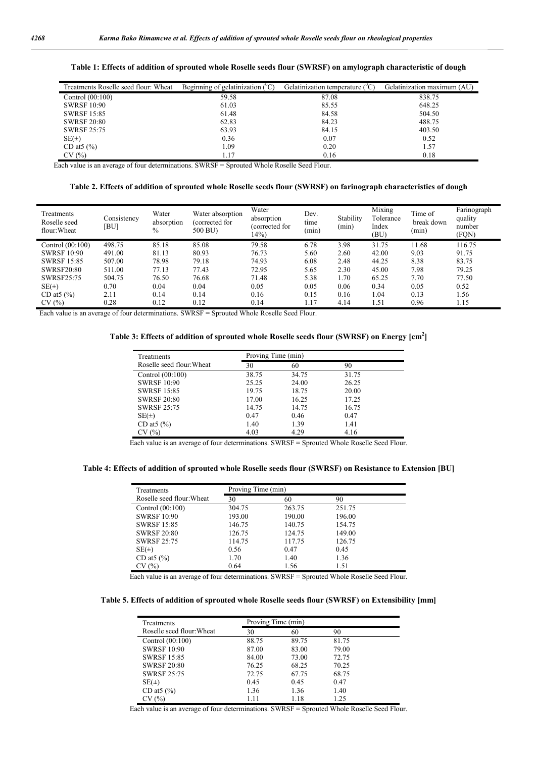| Treatments Roselle seed flour: Wheat | Beginning of gelatinization $(^{0}C)$ | Gelatinization temperature $(^{0}C)$ | Gelatinization maximum (AU) |
|--------------------------------------|---------------------------------------|--------------------------------------|-----------------------------|
| Control $(00:100)$                   | 59.58                                 | 87.08                                | 838.75                      |
| <b>SWRSF 10:90</b>                   | 61.03                                 | 85.55                                | 648.25                      |
| <b>SWRSF 15:85</b>                   | 61.48                                 | 84.58                                | 504.50                      |
| <b>SWRSF 20:80</b>                   | 62.83                                 | 84.23                                | 488.75                      |
| <b>SWRSF 25:75</b>                   | 63.93                                 | 84.15                                | 403.50                      |
| $SE(\pm)$                            | 0.36                                  | 0.07                                 | 0.52                        |
| CD at $(%)$                          | 1.09                                  | 0.20                                 | 1.57                        |
| CV(%)                                | l.17                                  | 0.16                                 | 0.18                        |

**Table 1: Effects of addition of sprouted whole Roselle seeds flour (SWRSF) on amylograph characteristic of dough**

Each value is an average of four determinations. SWRSF = Sprouted Whole Roselle Seed Flour.

**Table 2. Effects of addition of sprouted whole Roselle seeds flour (SWRSF) on farinograph characteristics of dough**

| Treatments<br>Roselle seed<br>flour: Wheat | Consistency<br>[BU] | Water<br>absorption<br>$\%$ | Water absorption<br>(corrected for<br>500 BU) | Water<br>absorption<br>(corrected for<br>14% | Dev.<br>time<br>(min) | Stability<br>(min) | Mixing<br>Tolerance<br>Index<br>(BU) | Time of<br>break down<br>(min) | Farinograph<br>quality<br>number<br>(FQN) |
|--------------------------------------------|---------------------|-----------------------------|-----------------------------------------------|----------------------------------------------|-----------------------|--------------------|--------------------------------------|--------------------------------|-------------------------------------------|
| Control $(00:100)$                         | 498.75              | 85.18                       | 85.08                                         | 79.58                                        | 6.78                  | 3.98               | 31.75                                | 11.68                          | 116.75                                    |
| <b>SWRSF 10:90</b>                         | 491.00              | 81.13                       | 80.93                                         | 76.73                                        | 5.60                  | 2.60               | 42.00                                | 9.03                           | 91.75                                     |
| <b>SWRSF 15:85</b>                         | 507.00              | 78.98                       | 79.18                                         | 74.93                                        | 6.08                  | 2.48               | 44.25                                | 8.38                           | 83.75                                     |
| <b>SWRSF20:80</b>                          | 511.00              | 77.13                       | 77.43                                         | 72.95                                        | 5.65                  | 2.30               | 45.00                                | 7.98                           | 79.25                                     |
| <b>SWRSF25:75</b>                          | 504.75              | 76.50                       | 76.68                                         | 71.48                                        | 5.38                  | 1.70               | 65.25                                | 7.70                           | 77.50                                     |
| $SE(\pm)$                                  | 0.70                | 0.04                        | 0.04                                          | 0.05                                         | 0.05                  | 0.06               | 0.34                                 | 0.05                           | 0.52                                      |
| CD at $(%)$                                | 2.11                | 0.14                        | 0.14                                          | 0.16                                         | 0.15                  | 0.16               | 1.04                                 | 0.13                           | 1.56                                      |
| CV(%)                                      | 0.28                | 0.12                        | 0.12                                          | 0.14                                         | 1.17                  | 4.14               | 1.51                                 | 0.96                           | 1.15                                      |

Each value is an average of four determinations. SWRSF = Sprouted Whole Roselle Seed Flour.

**Table 3: Effects of addition of sprouted whole Roselle seeds flour (SWRSF) on Energy [cm2 ]**

| Treatments                |       | Proving Time (min) |       |  |  |
|---------------------------|-------|--------------------|-------|--|--|
| Roselle seed flour: Wheat | 30    | 60                 | 90    |  |  |
| Control (00:100)          | 38.75 | 34.75              | 31.75 |  |  |
| <b>SWRSF 10:90</b>        | 25.25 | 24.00              | 26.25 |  |  |
| <b>SWRSF 15:85</b>        | 19.75 | 18.75              | 20.00 |  |  |
| <b>SWRSF 20:80</b>        | 17.00 | 16.25              | 17.25 |  |  |
| <b>SWRSF 25:75</b>        | 14.75 | 14.75              | 16.75 |  |  |
| $SE(\pm)$                 | 0.47  | 0.46               | 0.47  |  |  |
| CD at $(%)$               | 1.40  | 1.39               | 1.41  |  |  |
| (%)                       | 4.03  | 4.29               | 4.16  |  |  |

Each value is an average of four determinations. SWRSF = Sprouted Whole Roselle Seed Flour.

**Table 4: Effects of addition of sprouted whole Roselle seeds flour (SWRSF) on Resistance to Extension [BU]**

| Treatments                | Proving Time (min) |        |        |  |
|---------------------------|--------------------|--------|--------|--|
| Roselle seed flour: Wheat | 30                 | 60     | 90     |  |
| Control $(00:100)$        | 304.75             | 263.75 | 251.75 |  |
| <b>SWRSF 10:90</b>        | 193.00             | 190.00 | 196.00 |  |
| <b>SWRSF 15:85</b>        | 146.75             | 140.75 | 154.75 |  |
| <b>SWRSF 20:80</b>        | 126.75             | 124.75 | 149.00 |  |
| <b>SWRSF 25:75</b>        | 114.75             | 117.75 | 126.75 |  |
| $SE(\pm)$                 | 0.56               | 0.47   | 0.45   |  |
| CD at $($ %)              | 1.70               | 1.40   | 1.36   |  |
| CV(%)                     | 0.64               | 1.56   | 1.51   |  |

Each value is an average of four determinations. SWRSF = Sprouted Whole Roselle Seed Flour.

**Table 5. Effects of addition of sprouted whole Roselle seeds flour (SWRSF) on Extensibility [mm]**

| Treatments                | Proving Time (min) |       |       |  |  |
|---------------------------|--------------------|-------|-------|--|--|
| Roselle seed flour: Wheat | 30                 | 60    | 90    |  |  |
| Control (00:100)          | 88.75              | 89.75 | 81.75 |  |  |
| <b>SWRSF 10:90</b>        | 87.00              | 83.00 | 79.00 |  |  |
| <b>SWRSF 15:85</b>        | 84.00              | 73.00 | 72.75 |  |  |
| <b>SWRSF 20:80</b>        | 76.25              | 68.25 | 70.25 |  |  |
| <b>SWRSF 25:75</b>        | 72.75              | 67.75 | 68.75 |  |  |
| $SE(\pm)$                 | 0.45               | 0.45  | 0.47  |  |  |
| CD at $(%)$               | 1.36               | 1.36  | 1.40  |  |  |
| CV (%)                    | 1.11               | 1.18  | 1.25  |  |  |

Each value is an average of four determinations. SWRSF = Sprouted Whole Roselle Seed Flour.